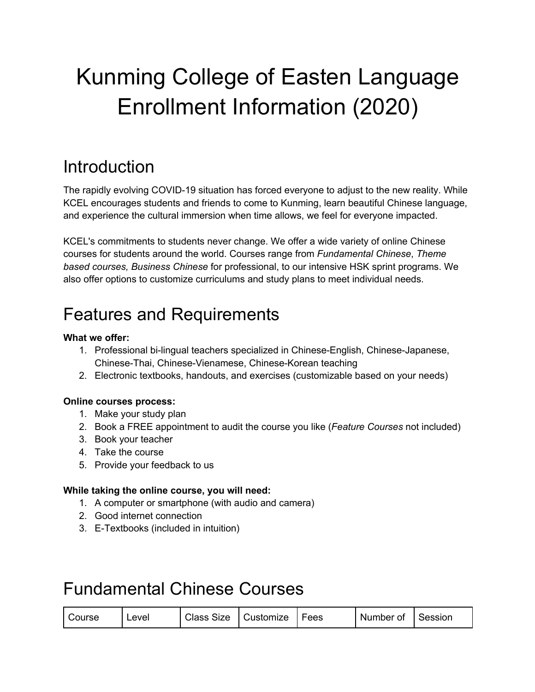# Kunming College of Easten Language Enrollment Information (2020)

### **Introduction**

The rapidly evolving COVID-19 situation has forced everyone to adjust to the new reality. While KCEL encourages students and friends to come to Kunming, learn beautiful Chinese language, and experience the cultural immersion when time allows, we feel for everyone impacted.

KCEL's commitments to students never change. We offer a wide variety of online Chinese courses for students around the world. Courses range from *Fundamental Chinese*, *Theme based courses, Business Chinese* for professional, to our intensive HSK sprint programs. We also offer options to customize curriculums and study plans to meet individual needs.

### Features and Requirements

#### **What we offer:**

- 1. Professional bi-lingual teachers specialized in Chinese-English, Chinese-Japanese, Chinese-Thai, Chinese-Vienamese, Chinese-Korean teaching
- 2. Electronic textbooks, handouts, and exercises (customizable based on your needs)

#### **Online courses process:**

- 1. Make your study plan
- 2. Book a FREE appointment to audit the course you like (*Feature Courses* not included)
- 3. Book your teacher
- 4. Take the course
- 5. Provide your feedback to us

#### **While taking the online course, you will need:**

- 1. A computer or smartphone (with audio and camera)
- 2. Good internet connection
- 3. E-Textbooks (included in intuition)

### Fundamental Chinese Courses

| <b>Class Size</b><br>  Customize<br>Course<br>Level | I Session<br>Number of<br>Fees |
|-----------------------------------------------------|--------------------------------|
|-----------------------------------------------------|--------------------------------|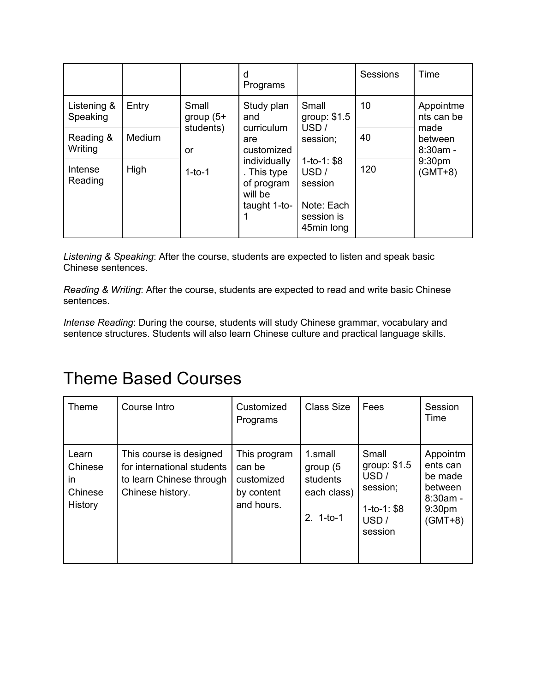|                         |        |                                         | d<br>Programs                                                                                                                |                                                                                                                         | Sessions | Time                                                                                        |
|-------------------------|--------|-----------------------------------------|------------------------------------------------------------------------------------------------------------------------------|-------------------------------------------------------------------------------------------------------------------------|----------|---------------------------------------------------------------------------------------------|
| Listening &<br>Speaking | Entry  | Small<br>group $(5+$<br>students)<br>or | Study plan<br>and<br>curriculum<br>are<br>customized<br>individually<br>. This type<br>of program<br>will be<br>taught 1-to- | Small<br>group: \$1.5<br>USD/<br>session;<br>$1-to-1: $8$<br>USD /<br>session<br>Note: Each<br>session is<br>45min long | 10       | Appointme<br>nts can be<br>made<br>between<br>$8:30am -$<br>9:30 <sub>pm</sub><br>$(GMT+8)$ |
| Reading &<br>Writing    | Medium |                                         |                                                                                                                              |                                                                                                                         | 40       |                                                                                             |
| Intense<br>Reading      | High   | $1-to-1$                                |                                                                                                                              |                                                                                                                         | 120      |                                                                                             |

*Listening & Speaking*: After the course, students are expected to listen and speak basic Chinese sentences.

*Reading & Writing*: After the course, students are expected to read and write basic Chinese sentences.

*Intense Reading*: During the course, students will study Chinese grammar, vocabulary and sentence structures. Students will also learn Chinese culture and practical language skills.

### Theme Based Courses

| <b>Theme</b>                                        | Course Intro                                                                                          | Customized<br>Programs                                           | <b>Class Size</b>                                               | Fees                                                                         | Session<br>Time                                                                              |
|-----------------------------------------------------|-------------------------------------------------------------------------------------------------------|------------------------------------------------------------------|-----------------------------------------------------------------|------------------------------------------------------------------------------|----------------------------------------------------------------------------------------------|
| Learn<br>Chinese<br>in<br>Chinese<br><b>History</b> | This course is designed<br>for international students<br>to learn Chinese through<br>Chinese history. | This program<br>can be<br>customized<br>by content<br>and hours. | 1.small<br>group $(5)$<br>students<br>each class)<br>$2.1-to-1$ | Small<br>group: \$1.5<br>USD/<br>session;<br>$1-to-1: $8$<br>USD/<br>session | Appointm<br>ents can<br>be made<br>between<br>$8:30$ am -<br>9:30 <sub>pm</sub><br>$(GMT+8)$ |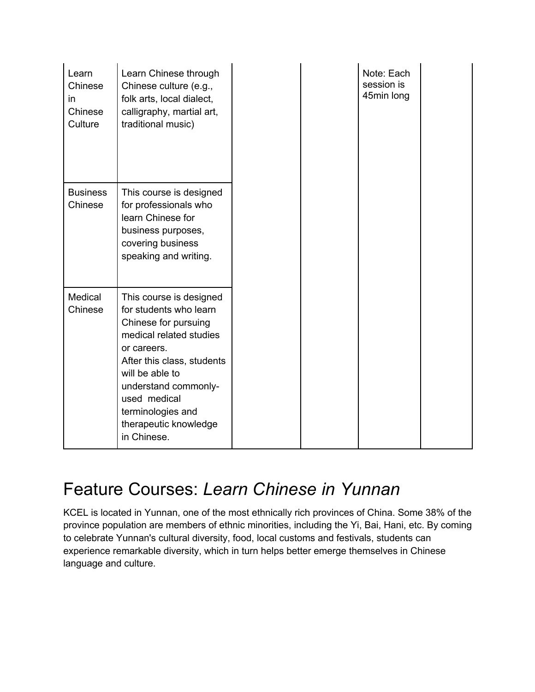| Learn<br>Chinese<br>in.<br>Chinese<br>Culture | Learn Chinese through<br>Chinese culture (e.g.,<br>folk arts, local dialect,<br>calligraphy, martial art,<br>traditional music)                                                                                                                                           |
|-----------------------------------------------|---------------------------------------------------------------------------------------------------------------------------------------------------------------------------------------------------------------------------------------------------------------------------|
| <b>Business</b><br>Chinese                    | This course is designed<br>for professionals who<br>learn Chinese for<br>business purposes,<br>covering business<br>speaking and writing.                                                                                                                                 |
| Medical<br>Chinese                            | This course is designed<br>for students who learn<br>Chinese for pursuing<br>medical related studies<br>or careers.<br>After this class, students<br>will be able to<br>understand commonly-<br>used medical<br>terminologies and<br>therapeutic knowledge<br>in Chinese. |

### Feature Courses: *Learn Chinese in Yunnan*

KCEL is located in Yunnan, one of the most ethnically rich provinces of China. Some 38% of the province population are members of ethnic minorities, including the Yi, Bai, Hani, etc. By coming to celebrate Yunnan's cultural diversity, food, local customs and festivals, students can experience remarkable diversity, which in turn helps better emerge themselves in Chinese language and culture.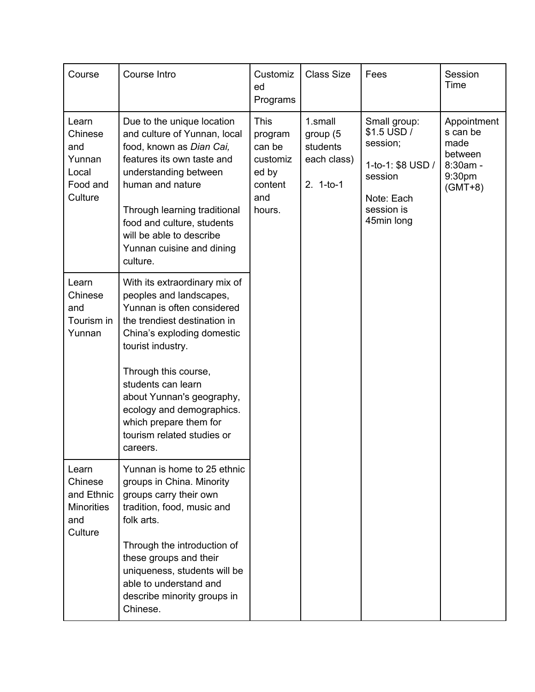| Course                                                                | Course Intro                                                                                                                                                                                                                                                                                                                                          | Customiz<br>ed<br>Programs                                                        | <b>Class Size</b>                                             | Fees                                                                                                              | Session<br>Time                                                               |
|-----------------------------------------------------------------------|-------------------------------------------------------------------------------------------------------------------------------------------------------------------------------------------------------------------------------------------------------------------------------------------------------------------------------------------------------|-----------------------------------------------------------------------------------|---------------------------------------------------------------|-------------------------------------------------------------------------------------------------------------------|-------------------------------------------------------------------------------|
| Learn<br>Chinese<br>and<br>Yunnan<br>Local<br>Food and<br>Culture     | Due to the unique location<br>and culture of Yunnan, local<br>food, known as Dian Cai,<br>features its own taste and<br>understanding between<br>human and nature<br>Through learning traditional<br>food and culture, students<br>will be able to describe<br>Yunnan cuisine and dining<br>culture.                                                  | <b>This</b><br>program<br>can be<br>customiz<br>ed by<br>content<br>and<br>hours. | 1.small<br>group (5<br>students<br>each class)<br>$2. 1-to-1$ | Small group:<br>\$1.5 USD /<br>session;<br>1-to-1: \$8 USD /<br>session<br>Note: Each<br>session is<br>45min long | Appointment<br>s can be<br>made<br>between<br>8:30am -<br>9:30pm<br>$(GMT+8)$ |
| Learn<br>Chinese<br>and<br>Tourism in<br>Yunnan                       | With its extraordinary mix of<br>peoples and landscapes,<br>Yunnan is often considered<br>the trendiest destination in<br>China's exploding domestic<br>tourist industry.<br>Through this course,<br>students can learn<br>about Yunnan's geography,<br>ecology and demographics.<br>which prepare them for<br>tourism related studies or<br>careers. |                                                                                   |                                                               |                                                                                                                   |                                                                               |
| Learn<br>Chinese<br>and Ethnic<br><b>Minorities</b><br>and<br>Culture | Yunnan is home to 25 ethnic<br>groups in China. Minority<br>groups carry their own<br>tradition, food, music and<br>folk arts.<br>Through the introduction of<br>these groups and their<br>uniqueness, students will be<br>able to understand and<br>describe minority groups in<br>Chinese.                                                          |                                                                                   |                                                               |                                                                                                                   |                                                                               |